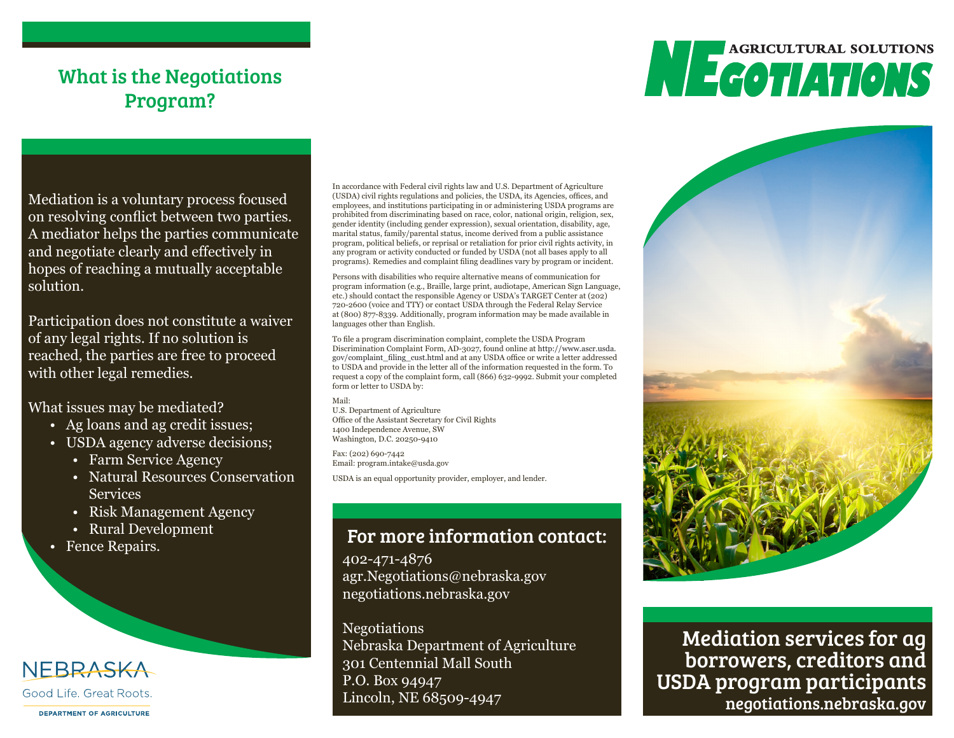## What is the Negotiations Program?

# **AGRICULTURAL SOLUTIONS NEGOTIATIONS**

Mediation is a voluntary process focused on resolving conflict between two parties. A mediator helps the parties communicate and negotiate clearly and effectively in hopes of reaching a mutually acceptable solution.

Participation does not constitute a waiver of any legal rights. If no solution is reached, the parties are free to proceed with other legal remedies.

What issues may be mediated?

- Ag loans and ag credit issues;
- USDA agency adverse decisions;
	- Farm Service Agency
	- Natural Resources Conservation Services
	- Risk Management Agency
	- Rural Development
- Fence Repairs.

#### NEBRASKA Good Life, Great Roots.

**DEPARTMENT OF AGRICULTURE** 

In accordance with Federal civil rights law and U.S. Department of Agriculture (USDA) civil rights regulations and policies, the USDA, its Agencies, offices, and employees, and institutions participating in or administering USDA programs are prohibited from discriminating based on race, color, national origin, religion, sex, gender identity (including gender expression), sexual orientation, disability, age, marital status, family/parental status, income derived from a public assistance program, political beliefs, or reprisal or retaliation for prior civil rights activity, in any program or activity conducted or funded by USDA (not all bases apply to all programs). Remedies and complaint filing deadlines vary by program or incident.

Persons with disabilities who require alternative means of communication for program information (e.g., Braille, large print, audiotape, American Sign Language, etc.) should contact the responsible Agency or USDA's TARGET Center at (202) 720-2600 (voice and TTY) or contact USDA through the Federal Relay Service at (800) 877-8339. Additionally, program information may be made available in languages other than English.

To file a program discrimination complaint, complete the USDA Program Discrimination Complaint Form, AD-3027, found online at http://www.ascr.usda. gov/complaint\_filing\_cust.html and at any USDA office or write a letter addressed to USDA and provide in the letter all of the information requested in the form. To request a copy of the complaint form, call (866) 632-9992. Submit your completed form or letter to USDA by:

Mail:

U.S. Department of Agriculture Office of the Assistant Secretary for Civil Rights 1400 Independence Avenue, SW Washington, D.C. 20250-9410

Fax: (202) 690-7442 Email: program.intake@usda.gov

USDA is an equal opportunity provider, employer, and lender.

### For more information contact:

402-471-4876 agr.Negotiations@nebraska.gov negotiations.nebraska.gov

Negotiations Nebraska Department of Agriculture 301 Centennial Mall South P.O. Box 94947 Lincoln, NE 68509-4947



Mediation services for ag borrowers, creditors and USDA program participants negotiations.nebraska.gov